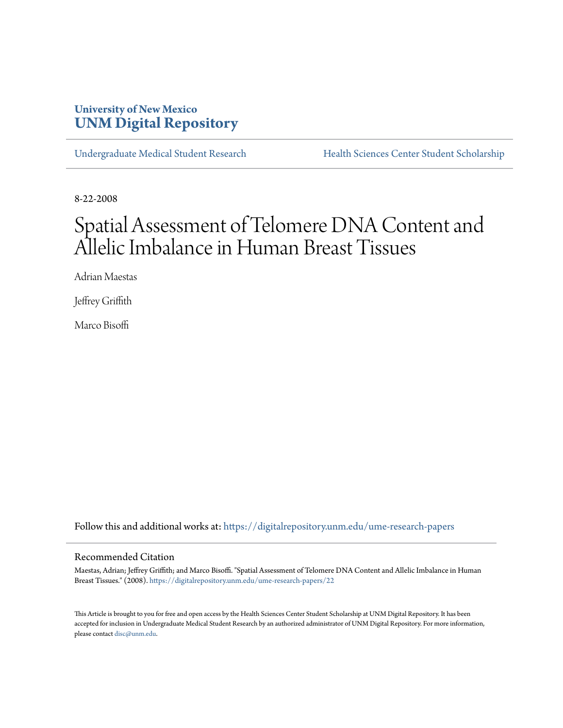# **University of New Mexico [UNM Digital Repository](https://digitalrepository.unm.edu?utm_source=digitalrepository.unm.edu%2Fume-research-papers%2F22&utm_medium=PDF&utm_campaign=PDFCoverPages)**

[Undergraduate Medical Student Research](https://digitalrepository.unm.edu/ume-research-papers?utm_source=digitalrepository.unm.edu%2Fume-research-papers%2F22&utm_medium=PDF&utm_campaign=PDFCoverPages) [Health Sciences Center Student Scholarship](https://digitalrepository.unm.edu/hsc-students?utm_source=digitalrepository.unm.edu%2Fume-research-papers%2F22&utm_medium=PDF&utm_campaign=PDFCoverPages)

8-22-2008

# Spatial Assessment of Telomere DNA Content and Allelic Imbalance in Human Breast Tissues

Adrian Maestas

Jeffrey Griffith

Marco Bisoffi

Follow this and additional works at: [https://digitalrepository.unm.edu/ume-research-papers](https://digitalrepository.unm.edu/ume-research-papers?utm_source=digitalrepository.unm.edu%2Fume-research-papers%2F22&utm_medium=PDF&utm_campaign=PDFCoverPages)

#### Recommended Citation

Maestas, Adrian; Jeffrey Griffith; and Marco Bisoffi. "Spatial Assessment of Telomere DNA Content and Allelic Imbalance in Human Breast Tissues." (2008). [https://digitalrepository.unm.edu/ume-research-papers/22](https://digitalrepository.unm.edu/ume-research-papers/22?utm_source=digitalrepository.unm.edu%2Fume-research-papers%2F22&utm_medium=PDF&utm_campaign=PDFCoverPages)

This Article is brought to you for free and open access by the Health Sciences Center Student Scholarship at UNM Digital Repository. It has been accepted for inclusion in Undergraduate Medical Student Research by an authorized administrator of UNM Digital Repository. For more information, please contact [disc@unm.edu.](mailto:disc@unm.edu)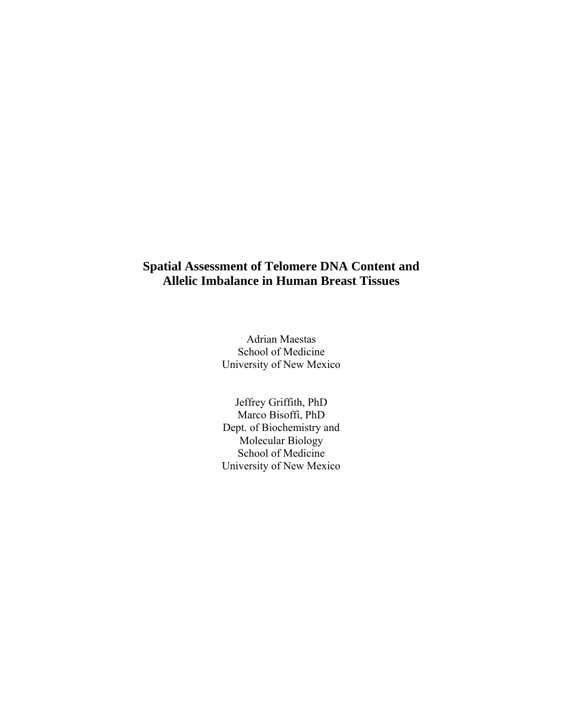# **Spatial Assessment of Telomere DNA Content and Allelic Imbalance in Human Breast Tissues**

Adrian Maestas School of Medicine University of New Mexico

Jeffrey Griffith, PhD Marco Bisoffi, PhD Dept. of Biochemistry and Molecular Biology School of Medicine University of New Mexico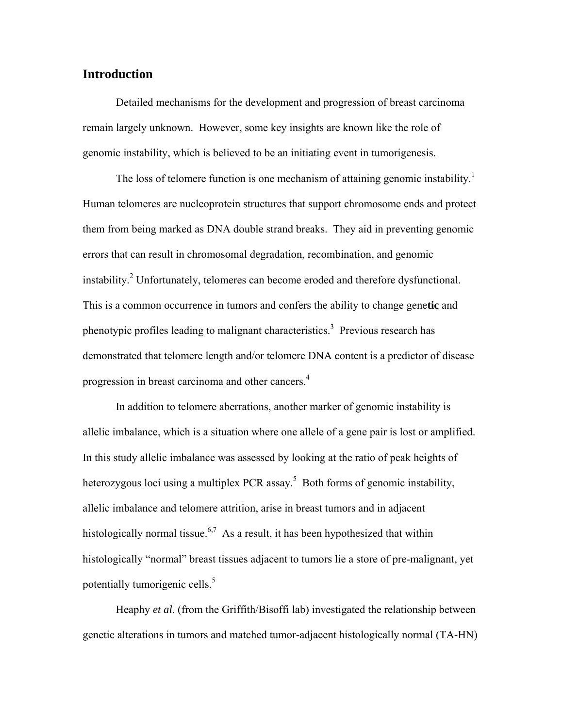## **Introduction**

Detailed mechanisms for the development and progression of breast carcinoma remain largely unknown. However, some key insights are known like the role of genomic instability, which is believed to be an initiating event in tumorigenesis.

The loss of telomere function is one mechanism of attaining genomic instability.<sup>1</sup> Human telomeres are nucleoprotein structures that support chromosome ends and protect them from being marked as DNA double strand breaks. They aid in preventing genomic errors that can result in chromosomal degradation, recombination, and genomic instability.<sup>2</sup> Unfortunately, telomeres can become eroded and therefore dysfunctional. This is a common occurrence in tumors and confers the ability to change gene**tic** and phenotypic profiles leading to malignant characteristics.<sup>3</sup> Previous research has demonstrated that telomere length and/or telomere DNA content is a predictor of disease progression in breast carcinoma and other cancers.4

 In addition to telomere aberrations, another marker of genomic instability is allelic imbalance, which is a situation where one allele of a gene pair is lost or amplified. In this study allelic imbalance was assessed by looking at the ratio of peak heights of heterozygous loci using a multiplex PCR assay.<sup>5</sup> Both forms of genomic instability, allelic imbalance and telomere attrition, arise in breast tumors and in adjacent histologically normal tissue.<sup>6,7</sup> As a result, it has been hypothesized that within histologically "normal" breast tissues adjacent to tumors lie a store of pre-malignant, yet potentially tumorigenic cells.<sup>5</sup>

Heaphy *et al*. (from the Griffith/Bisoffi lab) investigated the relationship between genetic alterations in tumors and matched tumor-adjacent histologically normal (TA-HN)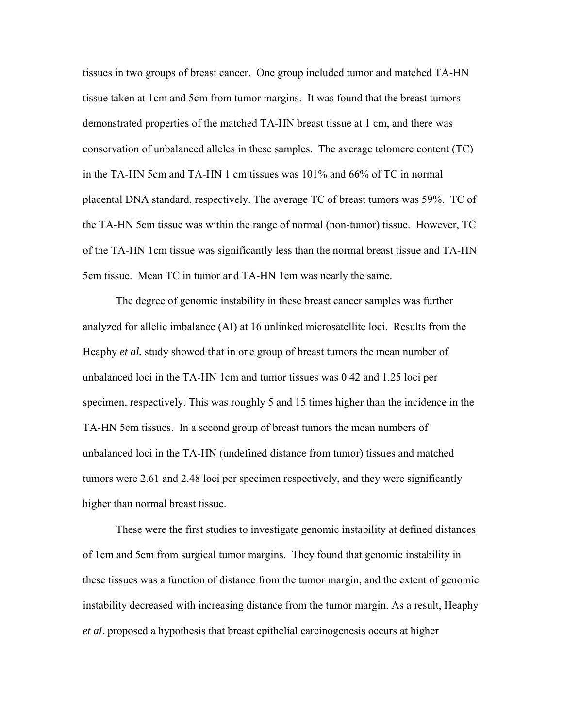tissues in two groups of breast cancer. One group included tumor and matched TA-HN tissue taken at 1cm and 5cm from tumor margins. It was found that the breast tumors demonstrated properties of the matched TA-HN breast tissue at 1 cm, and there was conservation of unbalanced alleles in these samples. The average telomere content (TC) in the TA-HN 5cm and TA-HN 1 cm tissues was 101% and 66% of TC in normal placental DNA standard, respectively. The average TC of breast tumors was 59%. TC of the TA-HN 5cm tissue was within the range of normal (non-tumor) tissue. However, TC of the TA-HN 1cm tissue was significantly less than the normal breast tissue and TA-HN 5cm tissue. Mean TC in tumor and TA-HN 1cm was nearly the same.

The degree of genomic instability in these breast cancer samples was further analyzed for allelic imbalance (AI) at 16 unlinked microsatellite loci. Results from the Heaphy *et al.* study showed that in one group of breast tumors the mean number of unbalanced loci in the TA-HN 1cm and tumor tissues was 0.42 and 1.25 loci per specimen, respectively. This was roughly 5 and 15 times higher than the incidence in the TA-HN 5cm tissues. In a second group of breast tumors the mean numbers of unbalanced loci in the TA-HN (undefined distance from tumor) tissues and matched tumors were 2.61 and 2.48 loci per specimen respectively, and they were significantly higher than normal breast tissue.

These were the first studies to investigate genomic instability at defined distances of 1cm and 5cm from surgical tumor margins. They found that genomic instability in these tissues was a function of distance from the tumor margin, and the extent of genomic instability decreased with increasing distance from the tumor margin. As a result, Heaphy *et al*. proposed a hypothesis that breast epithelial carcinogenesis occurs at higher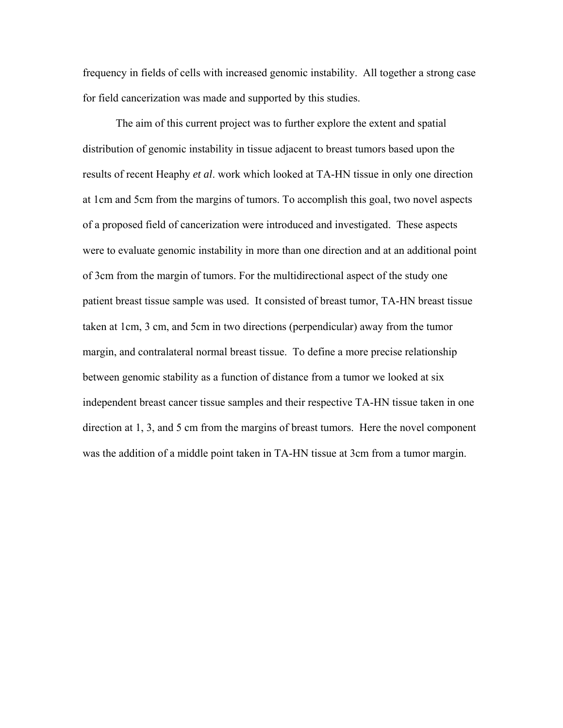frequency in fields of cells with increased genomic instability. All together a strong case for field cancerization was made and supported by this studies.

 The aim of this current project was to further explore the extent and spatial distribution of genomic instability in tissue adjacent to breast tumors based upon the results of recent Heaphy *et al*. work which looked at TA-HN tissue in only one direction at 1cm and 5cm from the margins of tumors. To accomplish this goal, two novel aspects of a proposed field of cancerization were introduced and investigated. These aspects were to evaluate genomic instability in more than one direction and at an additional point of 3cm from the margin of tumors. For the multidirectional aspect of the study one patient breast tissue sample was used. It consisted of breast tumor, TA-HN breast tissue taken at 1cm, 3 cm, and 5cm in two directions (perpendicular) away from the tumor margin, and contralateral normal breast tissue. To define a more precise relationship between genomic stability as a function of distance from a tumor we looked at six independent breast cancer tissue samples and their respective TA-HN tissue taken in one direction at 1, 3, and 5 cm from the margins of breast tumors. Here the novel component was the addition of a middle point taken in TA-HN tissue at 3cm from a tumor margin.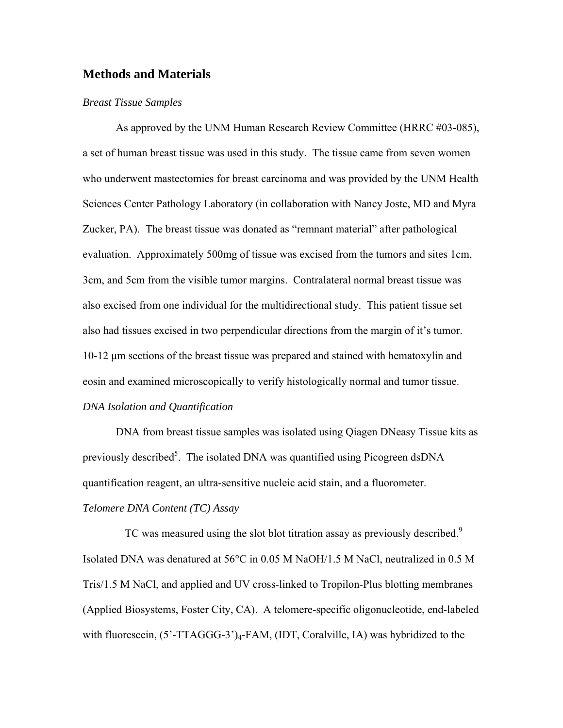## **Methods and Materials**

#### *Breast Tissue Samples*

As approved by the UNM Human Research Review Committee (HRRC #03-085), a set of human breast tissue was used in this study. The tissue came from seven women who underwent mastectomies for breast carcinoma and was provided by the UNM Health Sciences Center Pathology Laboratory (in collaboration with Nancy Joste, MD and Myra Zucker, PA). The breast tissue was donated as "remnant material" after pathological evaluation. Approximately 500mg of tissue was excised from the tumors and sites 1cm, 3cm, and 5cm from the visible tumor margins. Contralateral normal breast tissue was also excised from one individual for the multidirectional study. This patient tissue set also had tissues excised in two perpendicular directions from the margin of it's tumor. 10-12 μm sections of the breast tissue was prepared and stained with hematoxylin and eosin and examined microscopically to verify histologically normal and tumor tissue. *DNA Isolation and Quantification* 

DNA from breast tissue samples was isolated using Qiagen DNeasy Tissue kits as previously described<sup>5</sup>. The isolated DNA was quantified using Picogreen dsDNA quantification reagent, an ultra-sensitive nucleic acid stain, and a fluorometer. *Telomere DNA Content (TC) Assay* 

TC was measured using the slot blot titration assay as previously described.<sup>9</sup> Isolated DNA was denatured at 56°C in 0.05 M NaOH/1.5 M NaCl, neutralized in 0.5 M Tris/1.5 M NaCl, and applied and UV cross-linked to Tropilon-Plus blotting membranes (Applied Biosystems, Foster City, CA). A telomere-specific oligonucleotide, end-labeled with fluorescein,  $(5'-TTAGGG-3')_4$ -FAM, (IDT, Coralville, IA) was hybridized to the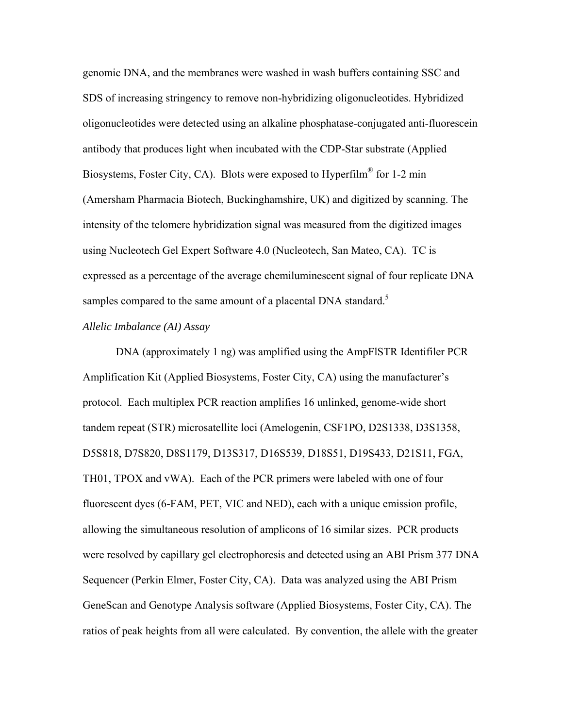genomic DNA, and the membranes were washed in wash buffers containing SSC and SDS of increasing stringency to remove non-hybridizing oligonucleotides. Hybridized oligonucleotides were detected using an alkaline phosphatase-conjugated anti-fluorescein antibody that produces light when incubated with the CDP-Star substrate (Applied Biosystems, Foster City, CA). Blots were exposed to Hyperfilm<sup>®</sup> for 1-2 min (Amersham Pharmacia Biotech, Buckinghamshire, UK) and digitized by scanning. The intensity of the telomere hybridization signal was measured from the digitized images using Nucleotech Gel Expert Software 4.0 (Nucleotech, San Mateo, CA). TC is expressed as a percentage of the average chemiluminescent signal of four replicate DNA samples compared to the same amount of a placental DNA standard.<sup>5</sup>

#### *Allelic Imbalance (AI) Assay*

DNA (approximately 1 ng) was amplified using the AmpFlSTR Identifiler PCR Amplification Kit (Applied Biosystems, Foster City, CA) using the manufacturer's protocol. Each multiplex PCR reaction amplifies 16 unlinked, genome-wide short tandem repeat (STR) microsatellite loci (Amelogenin, CSF1PO, D2S1338, D3S1358, D5S818, D7S820, D8S1179, D13S317, D16S539, D18S51, D19S433, D21S11, FGA, TH01, TPOX and vWA). Each of the PCR primers were labeled with one of four fluorescent dyes (6-FAM, PET, VIC and NED), each with a unique emission profile, allowing the simultaneous resolution of amplicons of 16 similar sizes. PCR products were resolved by capillary gel electrophoresis and detected using an ABI Prism 377 DNA Sequencer (Perkin Elmer, Foster City, CA). Data was analyzed using the ABI Prism GeneScan and Genotype Analysis software (Applied Biosystems, Foster City, CA). The ratios of peak heights from all were calculated. By convention, the allele with the greater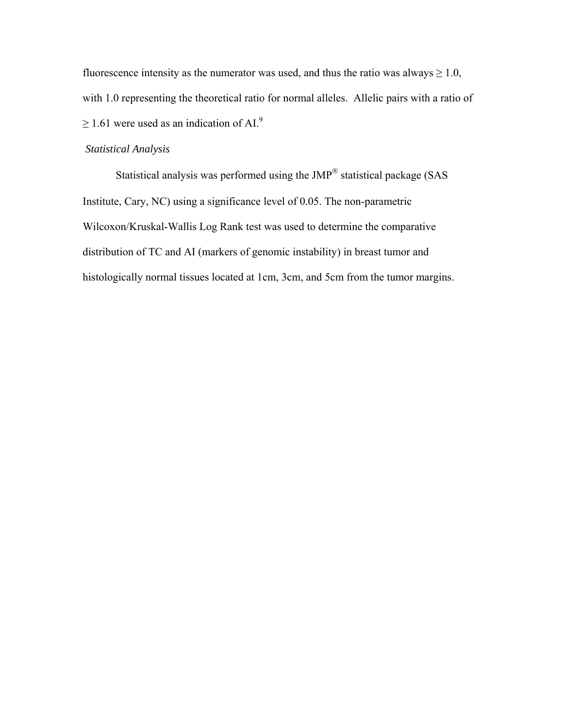fluorescence intensity as the numerator was used, and thus the ratio was always  $\geq 1.0$ , with 1.0 representing the theoretical ratio for normal alleles. Allelic pairs with a ratio of  $\geq$  1.61 were used as an indication of AI.<sup>9</sup>

## *Statistical Analysis*

Statistical analysis was performed using the JMP® statistical package (SAS Institute, Cary, NC) using a significance level of 0.05. The non-parametric Wilcoxon/Kruskal-Wallis Log Rank test was used to determine the comparative distribution of TC and AI (markers of genomic instability) in breast tumor and histologically normal tissues located at 1cm, 3cm, and 5cm from the tumor margins.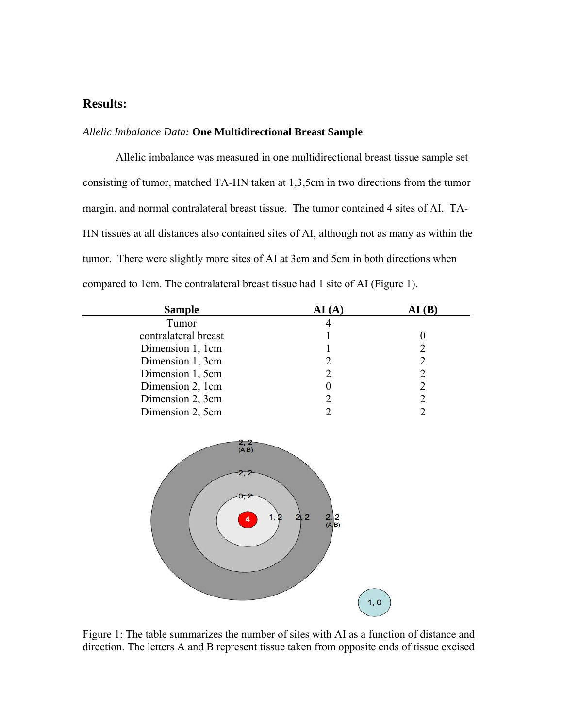## **Results:**

## *Allelic Imbalance Data:* **One Multidirectional Breast Sample**

Allelic imbalance was measured in one multidirectional breast tissue sample set consisting of tumor, matched TA-HN taken at 1,3,5cm in two directions from the tumor margin, and normal contralateral breast tissue. The tumor contained 4 sites of AI. TA-HN tissues at all distances also contained sites of AI, although not as many as within the tumor. There were slightly more sites of AI at 3cm and 5cm in both directions when compared to 1cm. The contralateral breast tissue had 1 site of AI (Figure 1).

| <b>Sample</b>        | AI (A | $\mathbf{A} \mathbf{I}$ ( $\mathbf{B}$ ) |
|----------------------|-------|------------------------------------------|
| Tumor                |       |                                          |
| contralateral breast |       |                                          |
| Dimension 1, 1cm     |       |                                          |
| Dimension 1, 3cm     |       |                                          |
| Dimension 1, 5cm     |       |                                          |
| Dimension 2, 1cm     |       |                                          |
| Dimension 2, 3cm     |       |                                          |
| Dimension 2, 5cm     |       |                                          |



Figure 1: The table summarizes the number of sites with AI as a function of distance and direction. The letters A and B represent tissue taken from opposite ends of tissue excised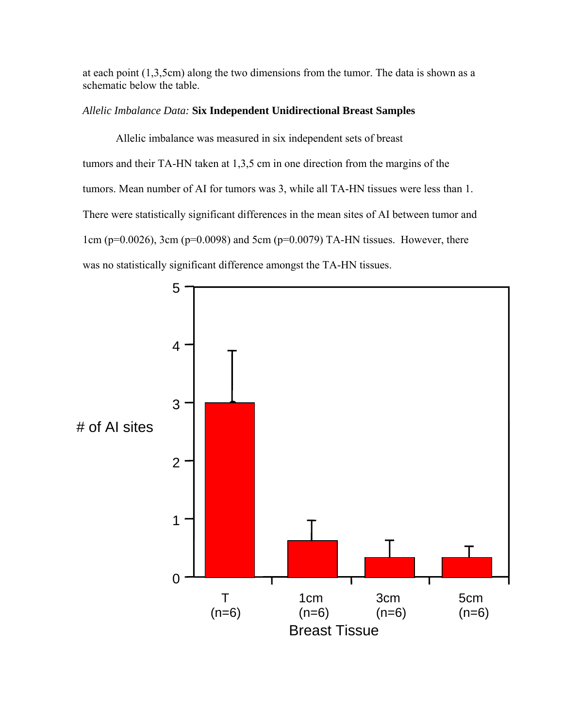at each point (1,3,5cm) along the two dimensions from the tumor. The data is shown as a schematic below the table.

## *Allelic Imbalance Data:* **Six Independent Unidirectional Breast Samples**

Allelic imbalance was measured in six independent sets of breast tumors and their TA-HN taken at 1,3,5 cm in one direction from the margins of the tumors. Mean number of AI for tumors was 3, while all TA-HN tissues were less than 1. There were statistically significant differences in the mean sites of AI between tumor and 1cm ( $p=0.0026$ ), 3cm ( $p=0.0098$ ) and 5cm ( $p=0.0079$ ) TA-HN tissues. However, there was no statistically significant difference amongst the TA-HN tissues.

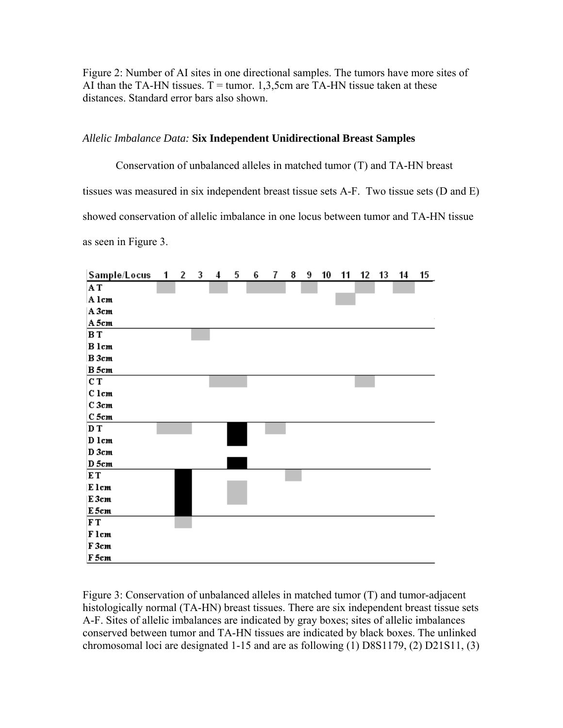Figure 2: Number of AI sites in one directional samples. The tumors have more sites of AI than the TA-HN tissues.  $T =$  tumor. 1,3,5cm are TA-HN tissue taken at these distances. Standard error bars also shown.

## *Allelic Imbalance Data:* **Six Independent Unidirectional Breast Samples**

Conservation of unbalanced alleles in matched tumor (T) and TA-HN breast tissues was measured in six independent breast tissue sets A-F. Two tissue sets (D and E) showed conservation of allelic imbalance in one locus between tumor and TA-HN tissue as seen in Figure 3.



Figure 3: Conservation of unbalanced alleles in matched tumor (T) and tumor-adjacent histologically normal (TA-HN) breast tissues. There are six independent breast tissue sets A-F. Sites of allelic imbalances are indicated by gray boxes; sites of allelic imbalances conserved between tumor and TA-HN tissues are indicated by black boxes. The unlinked chromosomal loci are designated 1-15 and are as following (1) D8S1179, (2) D21S11, (3)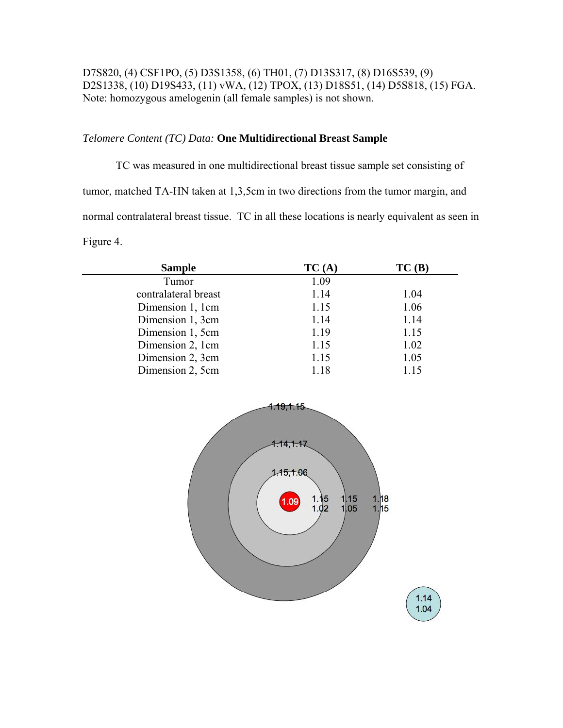D7S820, (4) CSF1PO, (5) D3S1358, (6) TH01, (7) D13S317, (8) D16S539, (9) D2S1338, (10) D19S433, (11) vWA, (12) TPOX, (13) D18S51, (14) D5S818, (15) FGA. Note: homozygous amelogenin (all female samples) is not shown.

## *Telomere Content (TC) Data:* **One Multidirectional Breast Sample**

TC was measured in one multidirectional breast tissue sample set consisting of tumor, matched TA-HN taken at 1,3,5cm in two directions from the tumor margin, and normal contralateral breast tissue. TC in all these locations is nearly equivalent as seen in Figure 4.

| <b>Sample</b>                                                                                      | TC(A) | TC(B) |  |
|----------------------------------------------------------------------------------------------------|-------|-------|--|
| Tumor                                                                                              | 1.09  |       |  |
| contralateral breast                                                                               | 1.14  | 1.04  |  |
| Dimension 1, 1cm                                                                                   | 1.15  | 1.06  |  |
| Dimension 1, 3cm                                                                                   | 1.14  | 1.14  |  |
| Dimension 1, 5cm                                                                                   | 1.19  | 1.15  |  |
| Dimension 2, 1cm                                                                                   | 1.15  | 1.02  |  |
| Dimension 2, 3cm                                                                                   | 1.15  | 1.05  |  |
| Dimension 2, 5cm                                                                                   | 1.18  | 1.15  |  |
| <u>1.14,1.17</u><br>$-15, 1.06$<br>1.18<br>1,15<br>1.09<br>$1.15$<br>$1.02$<br>1,05<br>1.15<br>114 |       |       |  |

 $1.04$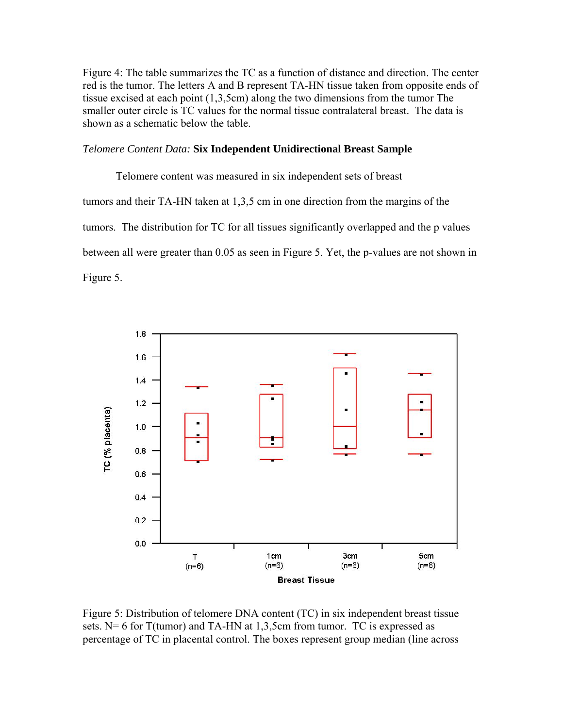Figure 4: The table summarizes the TC as a function of distance and direction. The center red is the tumor. The letters A and B represent TA-HN tissue taken from opposite ends of tissue excised at each point (1,3,5cm) along the two dimensions from the tumor The smaller outer circle is TC values for the normal tissue contralateral breast. The data is shown as a schematic below the table.

#### *Telomere Content Data:* **Six Independent Unidirectional Breast Sample**

Telomere content was measured in six independent sets of breast tumors and their TA-HN taken at 1,3,5 cm in one direction from the margins of the tumors. The distribution for TC for all tissues significantly overlapped and the p values between all were greater than 0.05 as seen in Figure 5. Yet, the p-values are not shown in Figure 5.



Figure 5: Distribution of telomere DNA content (TC) in six independent breast tissue sets. N= 6 for  $T(tumor)$  and TA-HN at 1,3,5cm from tumor. TC is expressed as percentage of TC in placental control. The boxes represent group median (line across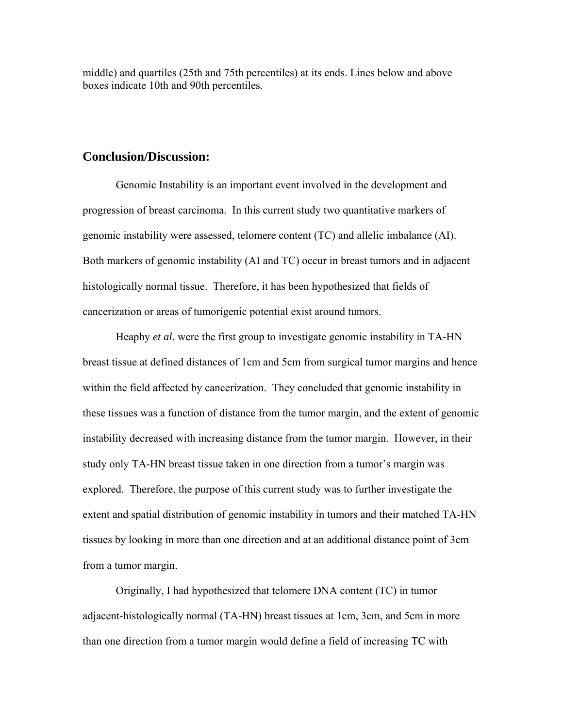middle) and quartiles (25th and 75th percentiles) at its ends. Lines below and above boxes indicate 10th and 90th percentiles.

## **Conclusion/Discussion:**

Genomic Instability is an important event involved in the development and progression of breast carcinoma. In this current study two quantitative markers of genomic instability were assessed, telomere content (TC) and allelic imbalance (AI). Both markers of genomic instability (AI and TC) occur in breast tumors and in adjacent histologically normal tissue. Therefore, it has been hypothesized that fields of cancerization or areas of tumorigenic potential exist around tumors.

Heaphy *et al.* were the first group to investigate genomic instability in TA-HN breast tissue at defined distances of 1cm and 5cm from surgical tumor margins and hence within the field affected by cancerization. They concluded that genomic instability in these tissues was a function of distance from the tumor margin, and the extent of genomic instability decreased with increasing distance from the tumor margin. However, in their study only TA-HN breast tissue taken in one direction from a tumor's margin was explored. Therefore, the purpose of this current study was to further investigate the extent and spatial distribution of genomic instability in tumors and their matched TA-HN tissues by looking in more than one direction and at an additional distance point of 3cm from a tumor margin.

Originally, I had hypothesized that telomere DNA content (TC) in tumor adjacent-histologically normal (TA-HN) breast tissues at 1cm, 3cm, and 5cm in more than one direction from a tumor margin would define a field of increasing TC with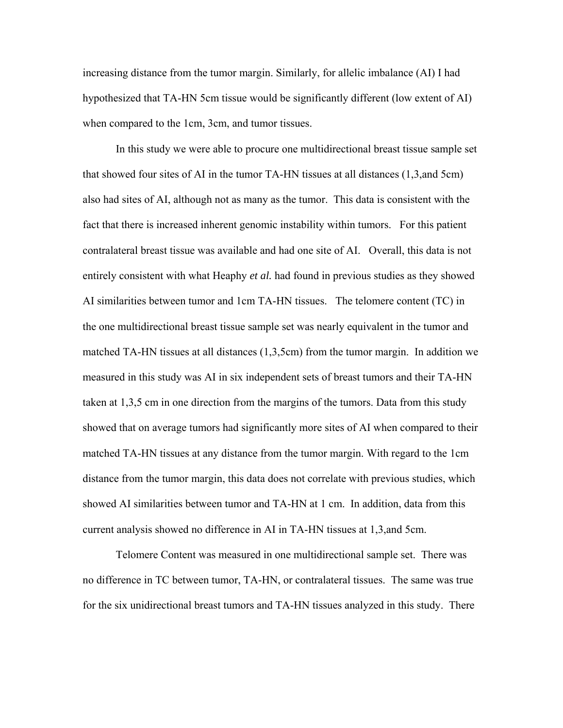increasing distance from the tumor margin. Similarly, for allelic imbalance (AI) I had hypothesized that TA-HN 5cm tissue would be significantly different (low extent of AI) when compared to the 1cm, 3cm, and tumor tissues.

In this study we were able to procure one multidirectional breast tissue sample set that showed four sites of AI in the tumor TA-HN tissues at all distances (1,3,and 5cm) also had sites of AI, although not as many as the tumor. This data is consistent with the fact that there is increased inherent genomic instability within tumors. For this patient contralateral breast tissue was available and had one site of AI. Overall, this data is not entirely consistent with what Heaphy *et al.* had found in previous studies as they showed AI similarities between tumor and 1cm TA-HN tissues. The telomere content (TC) in the one multidirectional breast tissue sample set was nearly equivalent in the tumor and matched TA-HN tissues at all distances (1,3,5cm) from the tumor margin. In addition we measured in this study was AI in six independent sets of breast tumors and their TA-HN taken at 1,3,5 cm in one direction from the margins of the tumors. Data from this study showed that on average tumors had significantly more sites of AI when compared to their matched TA-HN tissues at any distance from the tumor margin. With regard to the 1cm distance from the tumor margin, this data does not correlate with previous studies, which showed AI similarities between tumor and TA-HN at 1 cm. In addition, data from this current analysis showed no difference in AI in TA-HN tissues at 1,3,and 5cm.

Telomere Content was measured in one multidirectional sample set. There was no difference in TC between tumor, TA-HN, or contralateral tissues. The same was true for the six unidirectional breast tumors and TA-HN tissues analyzed in this study. There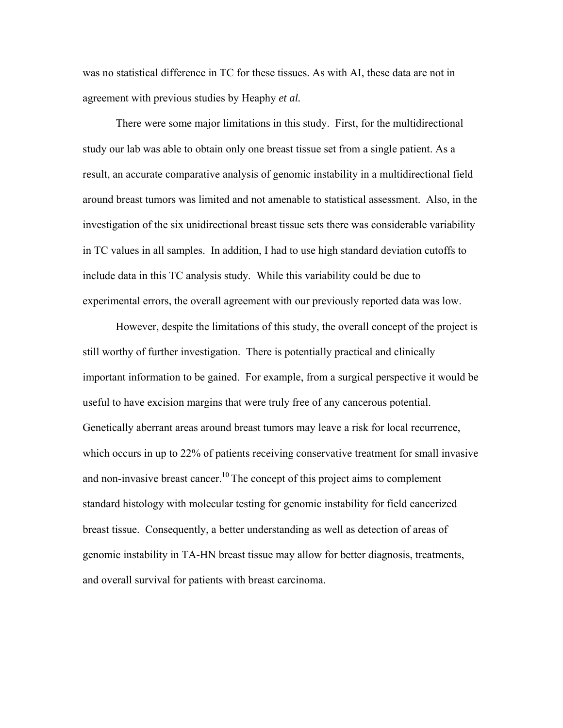was no statistical difference in TC for these tissues. As with AI, these data are not in agreement with previous studies by Heaphy *et al.*

There were some major limitations in this study. First, for the multidirectional study our lab was able to obtain only one breast tissue set from a single patient. As a result, an accurate comparative analysis of genomic instability in a multidirectional field around breast tumors was limited and not amenable to statistical assessment. Also, in the investigation of the six unidirectional breast tissue sets there was considerable variability in TC values in all samples. In addition, I had to use high standard deviation cutoffs to include data in this TC analysis study. While this variability could be due to experimental errors, the overall agreement with our previously reported data was low.

However, despite the limitations of this study, the overall concept of the project is still worthy of further investigation. There is potentially practical and clinically important information to be gained. For example, from a surgical perspective it would be useful to have excision margins that were truly free of any cancerous potential. Genetically aberrant areas around breast tumors may leave a risk for local recurrence, which occurs in up to 22% of patients receiving conservative treatment for small invasive and non-invasive breast cancer.<sup>10</sup> The concept of this project aims to complement standard histology with molecular testing for genomic instability for field cancerized breast tissue. Consequently, a better understanding as well as detection of areas of genomic instability in TA-HN breast tissue may allow for better diagnosis, treatments, and overall survival for patients with breast carcinoma.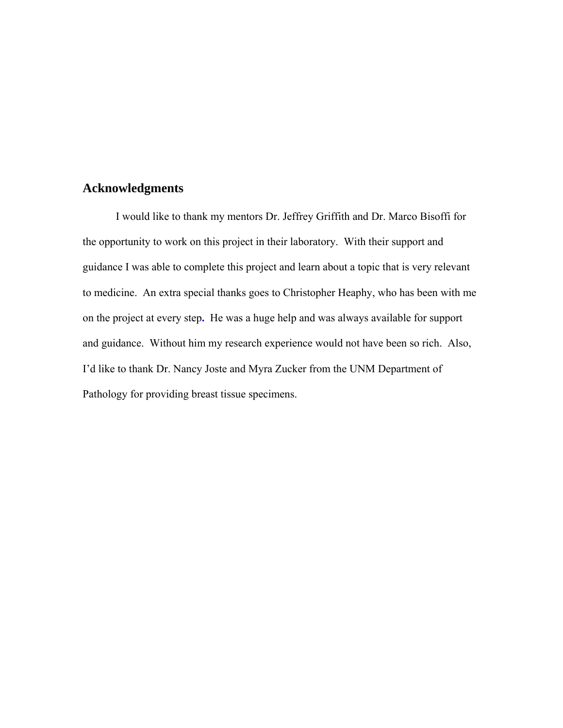# **Acknowledgments**

 I would like to thank my mentors Dr. Jeffrey Griffith and Dr. Marco Bisoffi for the opportunity to work on this project in their laboratory. With their support and guidance I was able to complete this project and learn about a topic that is very relevant to medicine. An extra special thanks goes to Christopher Heaphy, who has been with me on the project at every step**.** He was a huge help and was always available for support and guidance. Without him my research experience would not have been so rich. Also, I'd like to thank Dr. Nancy Joste and Myra Zucker from the UNM Department of Pathology for providing breast tissue specimens.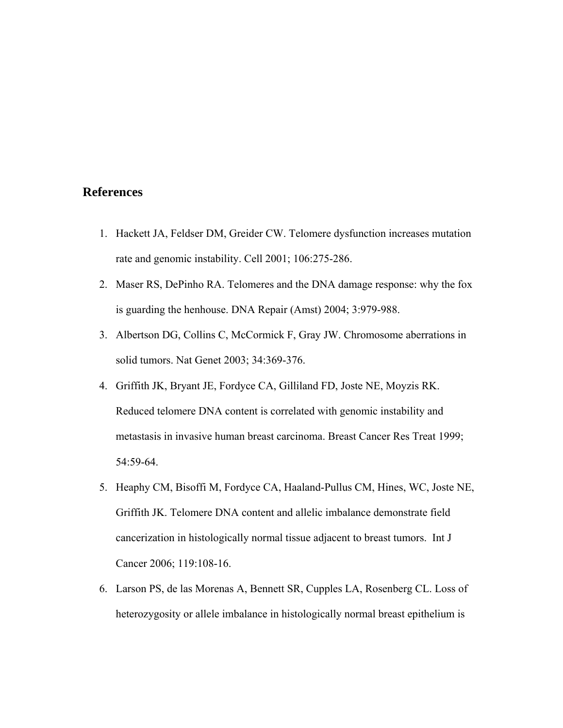## **References**

- 1. Hackett JA, Feldser DM, Greider CW. Telomere dysfunction increases mutation rate and genomic instability. Cell 2001; 106:275-286.
- 2. Maser RS, DePinho RA. Telomeres and the DNA damage response: why the fox is guarding the henhouse. DNA Repair (Amst) 2004; 3:979-988.
- 3. Albertson DG, Collins C, McCormick F, Gray JW. Chromosome aberrations in solid tumors. Nat Genet 2003; 34:369-376.
- 4. Griffith JK, Bryant JE, Fordyce CA, Gilliland FD, Joste NE, Moyzis RK. Reduced telomere DNA content is correlated with genomic instability and metastasis in invasive human breast carcinoma. Breast Cancer Res Treat 1999; 54:59-64.
- 5. Heaphy CM, Bisoffi M, Fordyce CA, Haaland-Pullus CM, Hines, WC, Joste NE, Griffith JK. Telomere DNA content and allelic imbalance demonstrate field cancerization in histologically normal tissue adjacent to breast tumors. Int J Cancer 2006; 119:108-16.
- 6. Larson PS, de las Morenas A, Bennett SR, Cupples LA, Rosenberg CL. Loss of heterozygosity or allele imbalance in histologically normal breast epithelium is